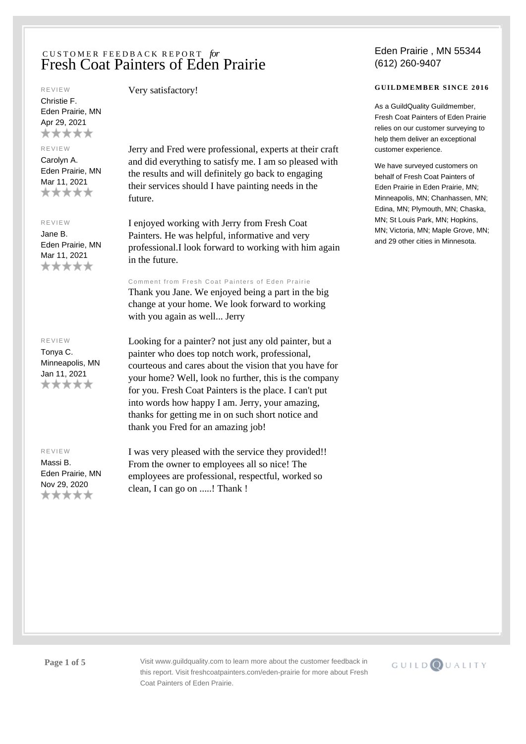#### REVIEW

Christie F. Eden Prairie, MN Apr 29, 2021 \*\*\*\*\*

### REVIEW

Carolyn A. Eden Prairie, MN Mar 11, 2021 \*\*\*\*\*

### REVIEW

Jane B. Eden Prairie, MN Mar 11, 2021 \*\*\*\*\*

### REVIEW

Tonya C. Minneapolis, MN Jan 11, 2021 \*\*\*\*\*

## REVIEW

Massi B. Eden Prairie, MN Nov 29, 2020 \*\*\*\*\*

Very satisfactory!

Jerry and Fred were professional, experts at their craft and did everything to satisfy me. I am so pleased with the results and will definitely go back to engaging their services should I have painting needs in the future.

I enjoyed working with Jerry from Fresh Coat Painters. He was helpful, informative and very professional.I look forward to working with him again in the future.

Comment from Fresh Coat Painters of Eden Prairie Thank you Jane. We enjoyed being a part in the big change at your home. We look forward to working with you again as well... Jerry

Looking for a painter? not just any old painter, but a painter who does top notch work, professional, courteous and cares about the vision that you have for your home? Well, look no further, this is the company for you. Fresh Coat Painters is the place. I can't put into words how happy I am. Jerry, your amazing, thanks for getting me in on such short notice and thank you Fred for an amazing job!

I was very pleased with the service they provided!! From the owner to employees all so nice! The employees are professional, respectful, worked so clean, I can go on .....! Thank !

## Eden Prairie , MN 55344 (612) 260-9407

## **GUILDMEMBER SINCE 2016**

As a GuildQuality Guildmember, Fresh Coat Painters of Eden Prairie relies on our customer surveying to help them deliver an exceptional customer experience.

We have surveyed customers on behalf of Fresh Coat Painters of Eden Prairie in Eden Prairie, MN; Minneapolis, MN; Chanhassen, MN; Edina, MN; Plymouth, MN; Chaska, MN; St Louis Park, MN; Hopkins, MN; Victoria, MN; Maple Grove, MN; and 29 other cities in Minnesota.

**Page 1 of 5** Visit www.guildquality.com to learn more about the customer feedback in this report. Visit freshcoatpainters.com/eden-prairie for more about Fresh Coat Painters of Eden Prairie.

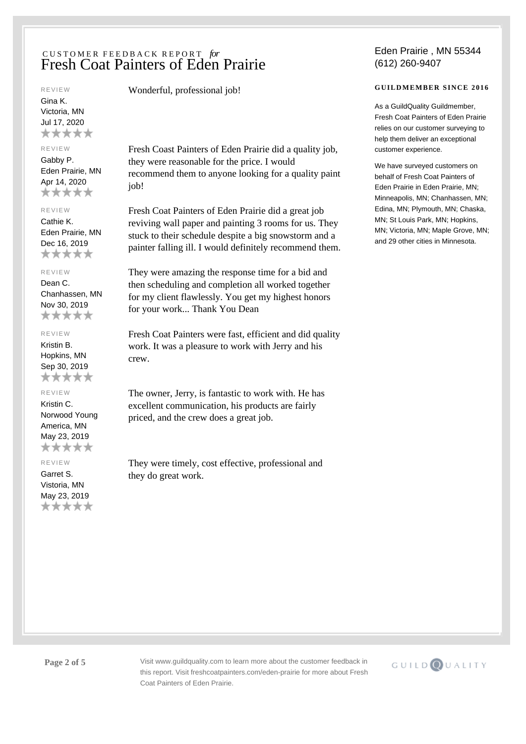#### REVIEW

Gina K. Victoria, MN Jul 17, 2020 \*\*\*\*\*

## REVIEW

Gabby P. Eden Prairie, MN Apr 14, 2020 \*\*\*\*\*

#### REVIEW

Cathie K. Eden Prairie, MN Dec 16, 2019 \*\*\*\*\*

### REVIEW

Dean C. Chanhassen, MN Nov 30, 2019 \*\*\*\*\*

## REVIEW

Kristin B. Hopkins, MN Sep 30, 2019 \*\*\*\*\*

## REVIEW

Kristin C. Norwood Young America, MN May 23, 2019 \*\*\*\*\*

REVIEW

Garret S. Vistoria, MN May 23, 2019 \*\*\*\*\* Wonderful, professional job!

Fresh Coast Painters of Eden Prairie did a quality job, they were reasonable for the price. I would recommend them to anyone looking for a quality paint job!

Fresh Coat Painters of Eden Prairie did a great job reviving wall paper and painting 3 rooms for us. They stuck to their schedule despite a big snowstorm and a painter falling ill. I would definitely recommend them.

They were amazing the response time for a bid and then scheduling and completion all worked together for my client flawlessly. You get my highest honors for your work... Thank You Dean

Fresh Coat Painters were fast, efficient and did quality work. It was a pleasure to work with Jerry and his crew.

The owner, Jerry, is fantastic to work with. He has excellent communication, his products are fairly priced, and the crew does a great job.

They were timely, cost effective, professional and they do great work.

## Eden Prairie , MN 55344 (612) 260-9407

## **GUILDMEMBER SINCE 2016**

As a GuildQuality Guildmember, Fresh Coat Painters of Eden Prairie relies on our customer surveying to help them deliver an exceptional customer experience.

We have surveyed customers on behalf of Fresh Coat Painters of Eden Prairie in Eden Prairie, MN; Minneapolis, MN; Chanhassen, MN; Edina, MN; Plymouth, MN; Chaska, MN; St Louis Park, MN; Hopkins, MN; Victoria, MN; Maple Grove, MN; and 29 other cities in Minnesota.

**Page 2 of 5** Visit www.guildquality.com to learn more about the customer feedback in this report. Visit freshcoatpainters.com/eden-prairie for more about Fresh Coat Painters of Eden Prairie.

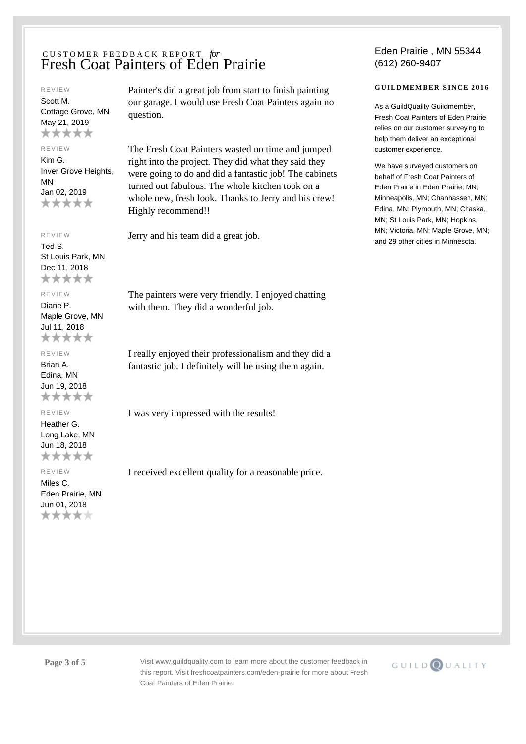#### REVIEW

Scott M. Cottage Grove, MN May 21, 2019 \*\*\*\*\*

### REVIEW

Kim G. Inver Grove Heights, MN Jan 02, 2019 \*\*\*\*\*

## REVIEW

Ted S. St Louis Park, MN Dec 11, 2018 \*\*\*\*\*

# REVIEW

Diane P. Maple Grove, MN Jul 11, 2018 \*\*\*\*\*

#### REVIEW

Brian A. Edina, MN Jun 19, 2018 \*\*\*\*\*

## REVIEW

Heather G. Long Lake, MN Jun 18, 2018 \*\*\*\*\*

#### REVIEW

Miles C. Eden Prairie, MN Jun 01, 2018 \*\*\*\*\*

Painter's did a great job from start to finish painting our garage. I would use Fresh Coat Painters again no question.

The Fresh Coat Painters wasted no time and jumped right into the project. They did what they said they were going to do and did a fantastic job! The cabinets turned out fabulous. The whole kitchen took on a whole new, fresh look. Thanks to Jerry and his crew! Highly recommend!!

Jerry and his team did a great job.

The painters were very friendly. I enjoyed chatting with them. They did a wonderful job.

I really enjoyed their professionalism and they did a fantastic job. I definitely will be using them again.

I was very impressed with the results!

I received excellent quality for a reasonable price.

## Eden Prairie , MN 55344 (612) 260-9407

## **GUILDMEMBER SINCE 2016**

As a GuildQuality Guildmember, Fresh Coat Painters of Eden Prairie relies on our customer surveying to help them deliver an exceptional customer experience.

We have surveyed customers on behalf of Fresh Coat Painters of Eden Prairie in Eden Prairie, MN; Minneapolis, MN; Chanhassen, MN; Edina, MN; Plymouth, MN; Chaska, MN; St Louis Park, MN; Hopkins, MN; Victoria, MN; Maple Grove, MN; and 29 other cities in Minnesota.

**Page 3 of 5** Visit www.guildquality.com to learn more about the customer feedback in this report. Visit freshcoatpainters.com/eden-prairie for more about Fresh Coat Painters of Eden Prairie.

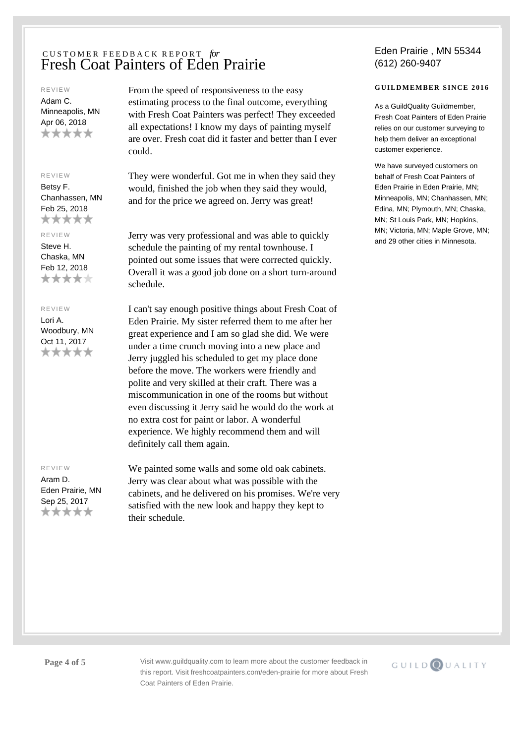#### REVIEW

Adam C. Minneapolis, MN Apr 06, 2018 \*\*\*\*\*

### REVIEW

Betsy F. Chanhassen, MN Feb 25, 2018 \*\*\*\*\*

# REVIEW

Steve H. Chaska, MN Feb 12, 2018 \*\*\*\*\*

#### REVIEW

Lori A. Woodbury, MN Oct 11, 2017 \*\*\*\*\*

### REVIEW

Aram D. Eden Prairie, MN Sep 25, 2017 \*\*\*\*\*

From the speed of responsiveness to the easy estimating process to the final outcome, everything with Fresh Coat Painters was perfect! They exceeded all expectations! I know my days of painting myself are over. Fresh coat did it faster and better than I ever could.

They were wonderful. Got me in when they said they would, finished the job when they said they would, and for the price we agreed on. Jerry was great!

Jerry was very professional and was able to quickly schedule the painting of my rental townhouse. I pointed out some issues that were corrected quickly. Overall it was a good job done on a short turn-around schedule.

I can't say enough positive things about Fresh Coat of Eden Prairie. My sister referred them to me after her great experience and I am so glad she did. We were under a time crunch moving into a new place and Jerry juggled his scheduled to get my place done before the move. The workers were friendly and polite and very skilled at their craft. There was a miscommunication in one of the rooms but without even discussing it Jerry said he would do the work at no extra cost for paint or labor. A wonderful experience. We highly recommend them and will definitely call them again.

We painted some walls and some old oak cabinets. Jerry was clear about what was possible with the cabinets, and he delivered on his promises. We're very satisfied with the new look and happy they kept to their schedule.

## Eden Prairie , MN 55344 (612) 260-9407

## **GUILDMEMBER SINCE 2016**

As a GuildQuality Guildmember, Fresh Coat Painters of Eden Prairie relies on our customer surveying to help them deliver an exceptional customer experience.

We have surveyed customers on behalf of Fresh Coat Painters of Eden Prairie in Eden Prairie, MN; Minneapolis, MN; Chanhassen, MN; Edina, MN; Plymouth, MN; Chaska, MN; St Louis Park, MN; Hopkins, MN; Victoria, MN; Maple Grove, MN; and 29 other cities in Minnesota.

**Page 4 of 5** Visit www.guildquality.com to learn more about the customer feedback in this report. Visit freshcoatpainters.com/eden-prairie for more about Fresh Coat Painters of Eden Prairie.